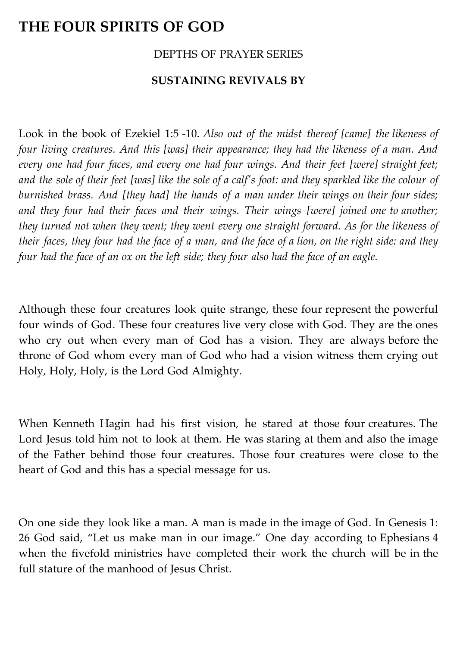## **THE FOUR SPIRITS OF GOD**

## DEPTHS OF PRAYER SERIES

## **SUSTAINING REVIVALS BY**

Look in the book of Ezekiel 1:5 -10. *Also out of the midst thereof [came] the likeness of four living creatures. And this [was] their appearance; they had the likeness of a man. And every one had four faces, and every one had four wings. And their feet [were] straight feet; and the sole of their feet [was] like the sole of a calf's foot: and they sparkled like the colour of burnished brass. And [they had] the hands of a man under their wings on their four sides; and they four had their faces and their wings. Their wings [were] joined one to another; they turned not when they went; they went every one straight forward. As for the likeness of their faces, they four had the face of a man, and the face of a lion, on the right side: and they four had the face of an ox on the left side; they four also had the face of an eagle.*

Although these four creatures look quite strange, these four represent the powerful four winds of God. These four creatures live very close with God. They are the ones who cry out when every man of God has a vision. They are always before the throne of God whom every man of God who had a vision witness them crying out Holy, Holy, Holy, is the Lord God Almighty.

When Kenneth Hagin had his first vision, he stared at those four creatures. The Lord Jesus told him not to look at them. He was staring at them and also the image of the Father behind those four creatures. Those four creatures were close to the heart of God and this has a special message for us.

On one side they look like a man. A man is made in the image of God. In Genesis 1: 26 God said, "Let us make man in our image." One day according to Ephesians 4 when the fivefold ministries have completed their work the church will be in the full stature of the manhood of Jesus Christ.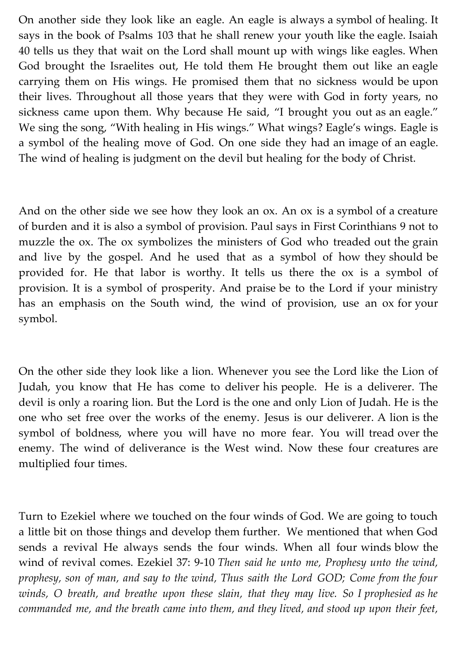On another side they look like an eagle. An eagle is always a symbol of healing. It says in the book of Psalms 103 that he shall renew your youth like the eagle. Isaiah 40 tells us they that wait on the Lord shall mount up with wings like eagles. When God brought the Israelites out, He told them He brought them out like an eagle carrying them on His wings. He promised them that no sickness would be upon their lives. Throughout all those years that they were with God in forty years, no sickness came upon them. Why because He said, "I brought you out as an eagle." We sing the song, "With healing in His wings." What wings? Eagle's wings. Eagle is a symbol of the healing move of God. On one side they had an image of an eagle. The wind of healing is judgment on the devil but healing for the body of Christ.

And on the other side we see how they look an ox. An ox is a symbol of a creature of burden and it is also a symbol of provision. Paul says in First Corinthians 9 not to muzzle the ox. The ox symbolizes the ministers of God who treaded out the grain and live by the gospel. And he used that as a symbol of how they should be provided for. He that labor is worthy. It tells us there the ox is a symbol of provision. It is a symbol of prosperity. And praise be to the Lord if your ministry has an emphasis on the South wind, the wind of provision, use an ox for your symbol.

On the other side they look like a lion. Whenever you see the Lord like the Lion of Judah, you know that He has come to deliver his people. He is a deliverer. The devil is only a roaring lion. But the Lord is the one and only Lion of Judah. He is the one who set free over the works of the enemy. Jesus is our deliverer. A lion is the symbol of boldness, where you will have no more fear. You will tread over the enemy. The wind of deliverance is the West wind. Now these four creatures are multiplied four times.

Turn to Ezekiel where we touched on the four winds of God. We are going to touch a little bit on those things and develop them further. We mentioned that when God sends a revival He always sends the four winds. When all four winds blow the wind of revival comes. Ezekiel 37: 9-10 *Then said he unto me, Prophesy unto the wind, prophesy, son of man, and say to the wind, Thus saith the Lord GOD; Come from the four winds, O breath, and breathe upon these slain, that they may live. So I prophesied as he commanded me, and the breath came into them, and they lived, and stood up upon their feet,*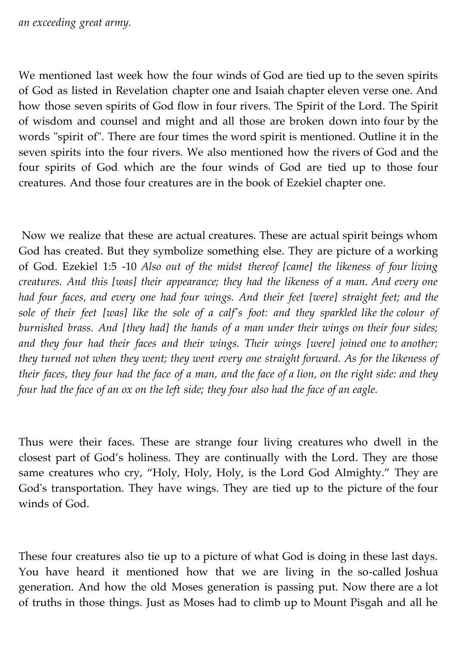We mentioned last week how the four winds of God are tied up to the seven spirits of God as listed in Revelation chapter one and Isaiah chapter eleven verse one. And how those seven spirits of God flow in four rivers. The Spirit of the Lord. The Spirit of wisdom and counsel and might and all those are broken down into four by the words "spirit of". There are four times the word spirit is mentioned. Outline it in the seven spirits into the four rivers. We also mentioned how the rivers of God and the four spirits of God which are the four winds of God are tied up to those four creatures. And those four creatures are in the book of Ezekiel chapter one.

Now we realize that these are actual creatures. These are actual spirit beings whom God has created. But they symbolize something else. They are picture of a working of God. Ezekiel 1:5 -10 *Also out of the midst thereof [came] the likeness of four living creatures. And this [was] their appearance; they had the likeness of a man. And every one had four faces, and every one had four wings. And their feet [were] straight feet; and the sole of their feet [was] like the sole of a calf's foot: and they sparkled like the colour of burnished brass. And [they had] the hands of a man under their wings on their four sides; and they four had their faces and their wings. Their wings [were] joined one to another; they turned not when they went; they went every one straight forward. As for the likeness of their faces, they four had the face of a man, and the face of a lion, on the right side: and they four had the face of an ox on the left side; they four also had the face of an eagle.*

Thus were their faces. These are strange four living creatures who dwell in the closest part of God's holiness. They are continually with the Lord. They are those same creatures who cry, "Holy, Holy, Holy, is the Lord God Almighty." They are God's transportation. They have wings. They are tied up to the picture of the four winds of God.

These four creatures also tie up to a picture of what God is doing in these last days. You have heard it mentioned how that we are living in the so-called Joshua generation. And how the old Moses generation is passing put. Now there are a lot of truths in those things. Just as Moses had to climb up to Mount Pisgah and all he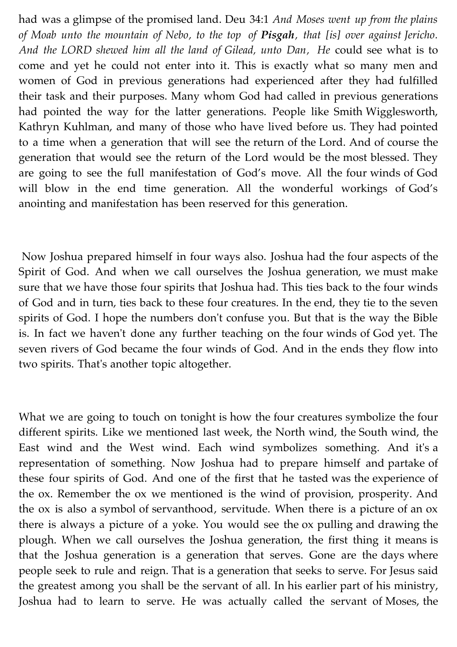had was a glimpse of the promised land. Deu 34:1 *And Moses went up from the plains of Moab unto the mountain of Nebo, to the top of Pisgah, that [is] over against Jericho. And the LORD shewed him all the land of Gilead, unto Dan, He* could see what is to come and yet he could not enter into it. This is exactly what so many men and women of God in previous generations had experienced after they had fulfilled their task and their purposes. Many whom God had called in previous generations had pointed the way for the latter generations. People like Smith Wigglesworth, Kathryn Kuhlman, and many of those who have lived before us. They had pointed to a time when a generation that will see the return of the Lord. And of course the generation that would see the return of the Lord would be the most blessed. They are going to see the full manifestation of God's move. All the four winds of God will blow in the end time generation. All the wonderful workings of God's anointing and manifestation has been reserved for this generation.

Now Joshua prepared himself in four ways also. Joshua had the four aspects of the Spirit of God. And when we call ourselves the Joshua generation, we must make sure that we have those four spirits that Joshua had. This ties back to the four winds of God and in turn, ties back to these four creatures. In the end, they tie to the seven spirits of God. I hope the numbers don't confuse you. But that is the way the Bible is. In fact we haven't done any further teaching on the four winds of God yet. The seven rivers of God became the four winds of God. And in the ends they flow into two spirits. That's another topic altogether.

What we are going to touch on tonight is how the four creatures symbolize the four different spirits. Like we mentioned last week, the North wind, the South wind, the East wind and the West wind. Each wind symbolizes something. And it's a representation of something. Now Joshua had to prepare himself and partake of these four spirits of God. And one of the first that he tasted was the experience of the ox. Remember the ox we mentioned is the wind of provision, prosperity. And the ox is also a symbol of servanthood, servitude. When there is a picture of an ox there is always a picture of a yoke. You would see the ox pulling and drawing the plough. When we call ourselves the Joshua generation, the first thing it means is that the Joshua generation is a generation that serves. Gone are the days where people seek to rule and reign. That is a generation that seeks to serve. For Jesus said the greatest among you shall be the servant of all. In his earlier part of his ministry, Joshua had to learn to serve. He was actually called the servant of Moses, the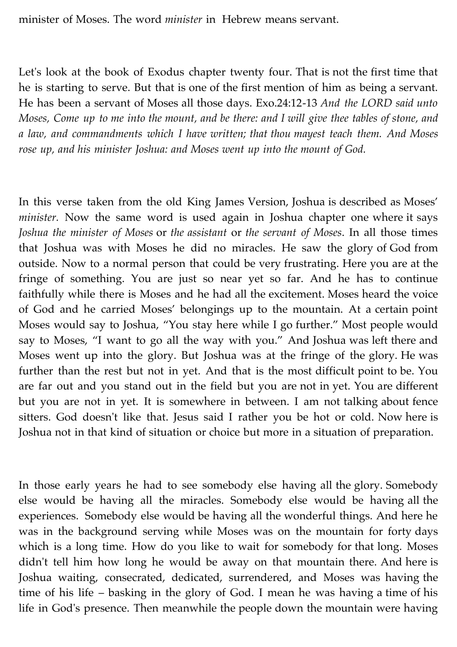minister of Moses. The word *minister* in Hebrew means servant.

Let's look at the book of Exodus chapter twenty four. That is not the first time that he is starting to serve. But that is one of the first mention of him as being a servant. He has been a servant of Moses all those days. Exo.24:12-13 *And the LORD said unto Moses, Come up to me into the mount, and be there: and I will give thee tables of stone, and a law, and commandments which I have written; that thou mayest teach them. And Moses rose up, and his minister Joshua: and Moses went up into the mount of God.*

In this verse taken from the old King James Version, Joshua is described as Moses' *minister.* Now the same word is used again in Joshua chapter one where it says *Joshua the minister of Moses* or *the assistant* or *the servant of Moses*. In all those times that Joshua was with Moses he did no miracles. He saw the glory of God from outside. Now to a normal person that could be very frustrating. Here you are at the fringe of something. You are just so near yet so far. And he has to continue faithfully while there is Moses and he had all the excitement. Moses heard the voice of God and he carried Moses' belongings up to the mountain. At a certain point Moses would say to Joshua, "You stay here while I go further." Most people would say to Moses, "I want to go all the way with you." And Joshua was left there and Moses went up into the glory. But Joshua was at the fringe of the glory. He was further than the rest but not in yet. And that is the most difficult point to be. You are far out and you stand out in the field but you are not in yet. You are different but you are not in yet. It is somewhere in between. I am not talking about fence sitters. God doesn't like that. Jesus said I rather you be hot or cold. Now here is Joshua not in that kind of situation or choice but more in a situation of preparation.

In those early years he had to see somebody else having all the glory. Somebody else would be having all the miracles. Somebody else would be having all the experiences. Somebody else would be having all the wonderful things. And here he was in the background serving while Moses was on the mountain for forty days which is a long time. How do you like to wait for somebody for that long. Moses didn't tell him how long he would be away on that mountain there. And here is Joshua waiting, consecrated, dedicated, surrendered, and Moses was having the time of his life – basking in the glory of God. I mean he was having a time of his life in God's presence. Then meanwhile the people down the mountain were having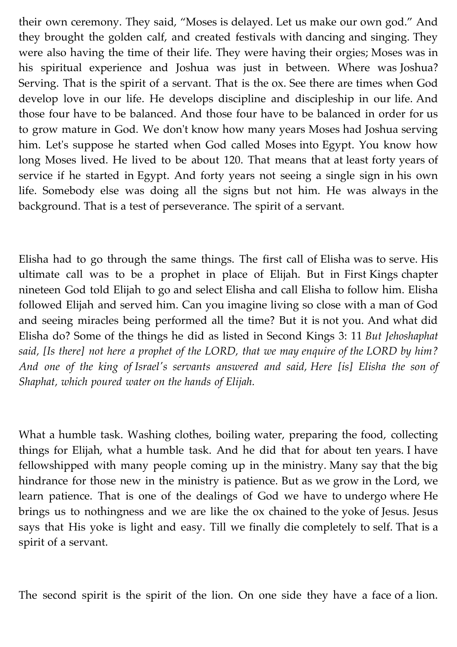their own ceremony. They said, "Moses is delayed. Let us make our own god." And they brought the golden calf, and created festivals with dancing and singing. They were also having the time of their life. They were having their orgies; Moses was in his spiritual experience and Joshua was just in between. Where was Joshua? Serving. That is the spirit of a servant. That is the ox. See there are times when God develop love in our life. He develops discipline and discipleship in our life. And those four have to be balanced. And those four have to be balanced in order for us to grow mature in God. We don't know how many years Moses had Joshua serving him. Let's suppose he started when God called Moses into Egypt. You know how long Moses lived. He lived to be about 120. That means that at least forty years of service if he started in Egypt. And forty years not seeing a single sign in his own life. Somebody else was doing all the signs but not him. He was always in the background. That is a test of perseverance. The spirit of a servant.

Elisha had to go through the same things. The first call of Elisha was to serve. His ultimate call was to be a prophet in place of Elijah. But in First Kings chapter nineteen God told Elijah to go and select Elisha and call Elisha to follow him. Elisha followed Elijah and served him. Can you imagine living so close with a man of God and seeing miracles being performed all the time? But it is not you. And what did Elisha do? Some of the things he did as listed in Second Kings 3: 11 *But Jehoshaphat said, [Is there] not here a prophet of the LORD, that we may enquire of the LORD by him? And one of the king of Israel's servants answered and said, Here [is] Elisha the son of Shaphat, which poured water on the hands of Elijah.*

What a humble task. Washing clothes, boiling water, preparing the food, collecting things for Elijah, what a humble task. And he did that for about ten years. I have fellowshipped with many people coming up in the ministry. Many say that the big hindrance for those new in the ministry is patience. But as we grow in the Lord, we learn patience. That is one of the dealings of God we have to undergo where He brings us to nothingness and we are like the ox chained to the yoke of Jesus. Jesus says that His yoke is light and easy. Till we finally die completely to self. That is a spirit of a servant.

The second spirit is the spirit of the lion. On one side they have a face of a lion.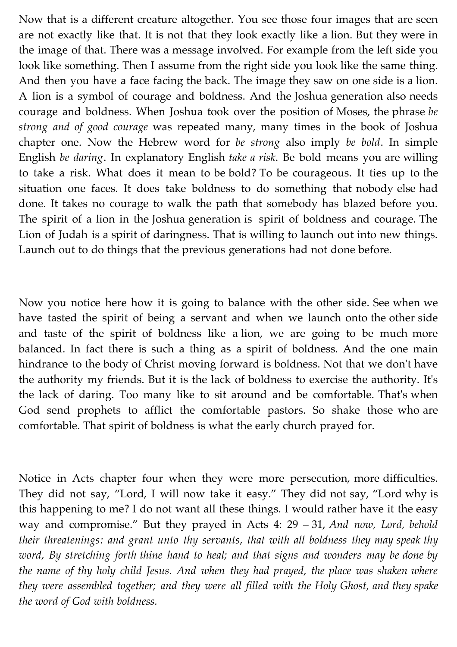Now that is a different creature altogether. You see those four images that are seen are not exactly like that. It is not that they look exactly like a lion. But they were in the image of that. There was a message involved. For example from the left side you look like something. Then I assume from the right side you look like the same thing. And then you have a face facing the back. The image they saw on one side is a lion. A lion is a symbol of courage and boldness. And the Joshua generation also needs courage and boldness. When Joshua took over the position of Moses, the phrase *be strong and of good courage* was repeated many, many times in the book of Joshua chapter one. Now the Hebrew word for *be strong* also imply *be bold*. In simple English *be daring*. In explanatory English *take a risk*. Be bold means you are willing to take a risk. What does it mean to be bold? To be courageous. It ties up to the situation one faces. It does take boldness to do something that nobody else had done. It takes no courage to walk the path that somebody has blazed before you. The spirit of a lion in the Joshua generation is spirit of boldness and courage. The Lion of Judah is a spirit of daringness. That is willing to launch out into new things. Launch out to do things that the previous generations had not done before.

Now you notice here how it is going to balance with the other side. See when we have tasted the spirit of being a servant and when we launch onto the other side and taste of the spirit of boldness like a lion, we are going to be much more balanced. In fact there is such a thing as a spirit of boldness. And the one main hindrance to the body of Christ moving forward is boldness. Not that we don't have the authority my friends. But it is the lack of boldness to exercise the authority. It's the lack of daring. Too many like to sit around and be comfortable. That's when God send prophets to afflict the comfortable pastors. So shake those who are comfortable. That spirit of boldness is what the early church prayed for.

Notice in Acts chapter four when they were more persecution, more difficulties. They did not say, "Lord, I will now take it easy." They did not say, "Lord why is this happening to me? I do not want all these things. I would rather have it the easy way and compromise." But they prayed in Acts 4: 29 – 31, *And now, Lord, behold their threatenings: and grant unto thy servants, that with all boldness they may speak thy word, By stretching forth thine hand to heal; and that signs and wonders may be done by the name of thy holy child Jesus. And when they had prayed, the place was shaken where they were assembled together; and they were all filled with the Holy Ghost, and they spake the word of God with boldness.*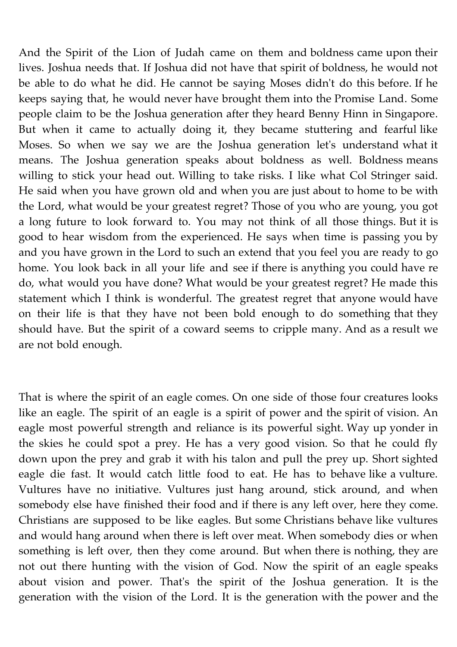And the Spirit of the Lion of Judah came on them and boldness came upon their lives. Joshua needs that. If Joshua did not have that spirit of boldness, he would not be able to do what he did. He cannot be saying Moses didn't do this before. If he keeps saying that, he would never have brought them into the Promise Land. Some people claim to be the Joshua generation after they heard Benny Hinn in Singapore. But when it came to actually doing it, they became stuttering and fearful like Moses. So when we say we are the Joshua generation let's understand what it means. The Joshua generation speaks about boldness as well. Boldness means willing to stick your head out. Willing to take risks. I like what Col Stringer said. He said when you have grown old and when you are just about to home to be with the Lord, what would be your greatest regret? Those of you who are young, you got a long future to look forward to. You may not think of all those things. But it is good to hear wisdom from the experienced. He says when time is passing you by and you have grown in the Lord to such an extend that you feel you are ready to go home. You look back in all your life and see if there is anything you could have re do, what would you have done? What would be your greatest regret? He made this statement which I think is wonderful. The greatest regret that anyone would have on their life is that they have not been bold enough to do something that they should have. But the spirit of a coward seems to cripple many. And as a result we are not bold enough.

That is where the spirit of an eagle comes. On one side of those four creatures looks like an eagle. The spirit of an eagle is a spirit of power and the spirit of vision. An eagle most powerful strength and reliance is its powerful sight. Way up yonder in the skies he could spot a prey. He has a very good vision. So that he could fly down upon the prey and grab it with his talon and pull the prey up. Short sighted eagle die fast. It would catch little food to eat. He has to behave like a vulture. Vultures have no initiative. Vultures just hang around, stick around, and when somebody else have finished their food and if there is any left over, here they come. Christians are supposed to be like eagles. But some Christians behave like vultures and would hang around when there is left over meat. When somebody dies or when something is left over, then they come around. But when there is nothing, they are not out there hunting with the vision of God. Now the spirit of an eagle speaks about vision and power. That's the spirit of the Joshua generation. It is the generation with the vision of the Lord. It is the generation with the power and the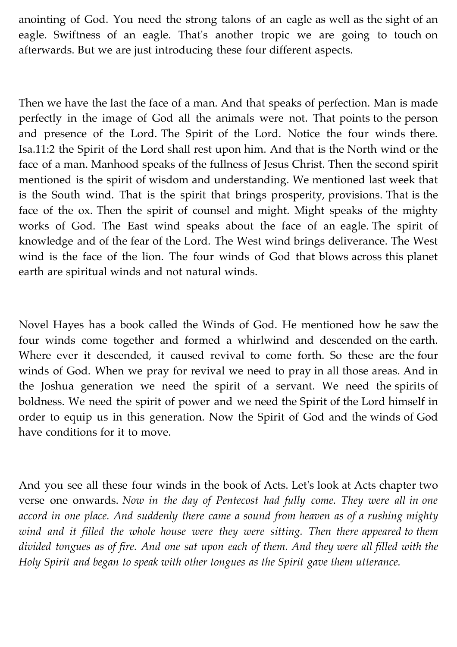anointing of God. You need the strong talons of an eagle as well as the sight of an eagle. Swiftness of an eagle. That's another tropic we are going to touch on afterwards. But we are just introducing these four different aspects.

Then we have the last the face of a man. And that speaks of perfection. Man is made perfectly in the image of God all the animals were not. That points to the person and presence of the Lord. The Spirit of the Lord. Notice the four winds there. Isa.11:2 the Spirit of the Lord shall rest upon him. And that is the North wind or the face of a man. Manhood speaks of the fullness of Jesus Christ. Then the second spirit mentioned is the spirit of wisdom and understanding. We mentioned last week that is the South wind. That is the spirit that brings prosperity, provisions. That is the face of the ox. Then the spirit of counsel and might. Might speaks of the mighty works of God. The East wind speaks about the face of an eagle. The spirit of knowledge and of the fear of the Lord. The West wind brings deliverance. The West wind is the face of the lion. The four winds of God that blows across this planet earth are spiritual winds and not natural winds.

Novel Hayes has a book called the Winds of God. He mentioned how he saw the four winds come together and formed a whirlwind and descended on the earth. Where ever it descended, it caused revival to come forth. So these are the four winds of God. When we pray for revival we need to pray in all those areas. And in the Joshua generation we need the spirit of a servant. We need the spirits of boldness. We need the spirit of power and we need the Spirit of the Lord himself in order to equip us in this generation. Now the Spirit of God and the winds of God have conditions for it to move.

And you see all these four winds in the book of Acts. Let's look at Acts chapter two verse one onwards. *Now in the day of Pentecost had fully come. They were all in one accord in one place. And suddenly there came a sound from heaven as of a rushing mighty wind and it filled the whole house were they were sitting. Then there appeared to them divided tongues as of fire. And one sat upon each of them. And they were all filled with the Holy Spirit and began to speak with other tongues as the Spirit gave them utterance.*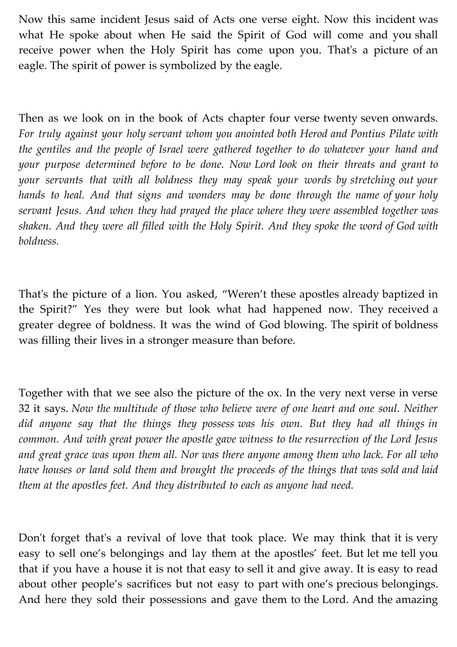Now this same incident Jesus said of Acts one verse eight. Now this incident was what He spoke about when He said the Spirit of God will come and you shall receive power when the Holy Spirit has come upon you. That's a picture of an eagle. The spirit of power is symbolized by the eagle.

Then as we look on in the book of Acts chapter four verse twenty seven onwards. *For truly against your holy servant whom you anointed both Herod and Pontius Pilate with the gentiles and the people of Israel were gathered together to do whatever your hand and your purpose determined before to be done. Now Lord look on their threats and grant to your servants that with all boldness they may speak your words by stretching out your hands to heal. And that signs and wonders may be done through the name of your holy servant Jesus. And when they had prayed the place where they were assembled together was shaken. And they were all filled with the Holy Spirit. And they spoke the word of God with boldness.*

That's the picture of a lion. You asked, "Weren't these apostles already baptized in the Spirit?" Yes they were but look what had happened now. They received a greater degree of boldness. It was the wind of God blowing. The spirit of boldness was filling their lives in a stronger measure than before.

Together with that we see also the picture of the ox. In the very next verse in verse 32 it says. *Now the multitude of those who believe were of one heart and one soul. Neither did anyone say that the things they possess was his own. But they had all things in common. And with great power the apostle gave witness to the resurrection of the Lord Jesus and great grace was upon them all. Nor was there anyone among them who lack. For all who have houses or land sold them and brought the proceeds of the things that was sold and laid them at the apostles feet. And they distributed to each as anyone had need.*

Don't forget that's a revival of love that took place. We may think that it is very easy to sell one's belongings and lay them at the apostles' feet. But let me tell you that if you have a house it is not that easy to sell it and give away. It is easy to read about other people's sacrifices but not easy to part with one's precious belongings. And here they sold their possessions and gave them to the Lord. And the amazing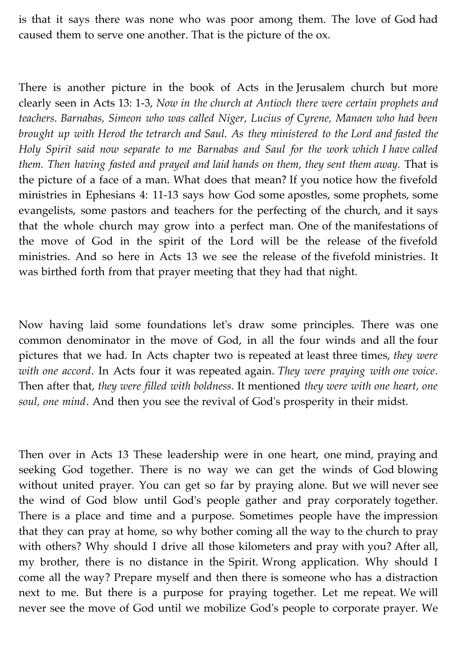is that it says there was none who was poor among them. The love of God had caused them to serve one another. That is the picture of the ox.

There is another picture in the book of Acts in the Jerusalem church but more clearly seen in Acts 13: 1-3, *Now in the church at Antioch there were certain prophets and teachers. Barnabas, Simeon who was called Niger, Lucius of Cyrene, Manaen who had been brought up with Herod the tetrarch and Saul. As they ministered to the Lord and fasted the Holy Spirit said now separate to me Barnabas and Saul for the work which I have called them. Then having fasted and prayed and laid hands on them, they sent them away.* That is the picture of a face of a man. What does that mean? If you notice how the fivefold ministries in Ephesians 4: 11-13 says how God some apostles, some prophets, some evangelists, some pastors and teachers for the perfecting of the church, and it says that the whole church may grow into a perfect man. One of the manifestations of the move of God in the spirit of the Lord will be the release of the fivefold ministries. And so here in Acts 13 we see the release of the fivefold ministries. It was birthed forth from that prayer meeting that they had that night.

Now having laid some foundations let's draw some principles. There was one common denominator in the move of God, in all the four winds and all the four pictures that we had. In Acts chapter two is repeated at least three times, *they were with one accord*. In Acts four it was repeated again. *They were praying with one voice*. Then after that, *they were filled with boldness.* It mentioned *they were with one heart, one soul, one mind*. And then you see the revival of God's prosperity in their midst.

Then over in Acts 13 These leadership were in one heart, one mind, praying and seeking God together. There is no way we can get the winds of God blowing without united prayer. You can get so far by praying alone. But we will never see the wind of God blow until God's people gather and pray corporately together. There is a place and time and a purpose. Sometimes people have the impression that they can pray at home, so why bother coming all the way to the church to pray with others? Why should I drive all those kilometers and pray with you? After all, my brother, there is no distance in the Spirit. Wrong application. Why should I come all the way? Prepare myself and then there is someone who has a distraction next to me. But there is a purpose for praying together. Let me repeat. We will never see the move of God until we mobilize God's people to corporate prayer. We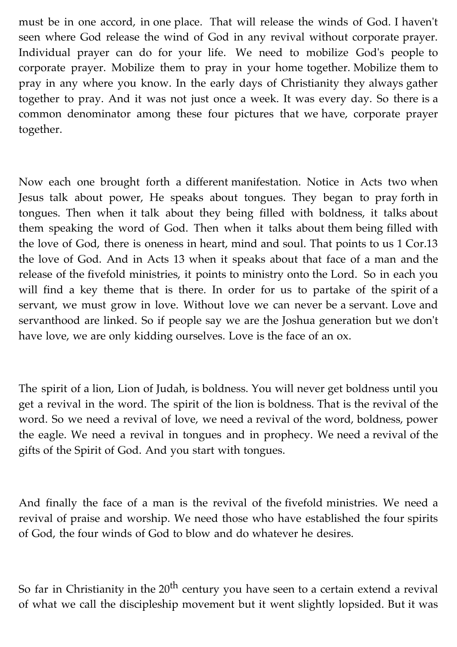must be in one accord, in one place. That will release the winds of God. I haven't seen where God release the wind of God in any revival without corporate prayer. Individual prayer can do for your life. We need to mobilize God's people to corporate prayer. Mobilize them to pray in your home together. Mobilize them to pray in any where you know. In the early days of Christianity they always gather together to pray. And it was not just once a week. It was every day. So there is a common denominator among these four pictures that we have, corporate prayer together.

Now each one brought forth a different manifestation. Notice in Acts two when Jesus talk about power, He speaks about tongues. They began to pray forth in tongues. Then when it talk about they being filled with boldness, it talks about them speaking the word of God. Then when it talks about them being filled with the love of God, there is oneness in heart, mind and soul. That points to us 1 Cor.13 the love of God. And in Acts 13 when it speaks about that face of a man and the release of the fivefold ministries, it points to ministry onto the Lord. So in each you will find a key theme that is there. In order for us to partake of the spirit of a servant, we must grow in love. Without love we can never be a servant. Love and servanthood are linked. So if people say we are the Joshua generation but we don't have love, we are only kidding ourselves. Love is the face of an ox.

The spirit of a lion, Lion of Judah, is boldness. You will never get boldness until you get a revival in the word. The spirit of the lion is boldness. That is the revival of the word. So we need a revival of love, we need a revival of the word, boldness, power the eagle. We need a revival in tongues and in prophecy. We need a revival of the gifts of the Spirit of God. And you start with tongues.

And finally the face of a man is the revival of the fivefold ministries. We need a revival of praise and worship. We need those who have established the four spirits of God, the four winds of God to blow and do whatever he desires.

So far in Christianity in the  $20<sup>th</sup>$  century you have seen to a certain extend a revival of what we call the discipleship movement but it went slightly lopsided. But it was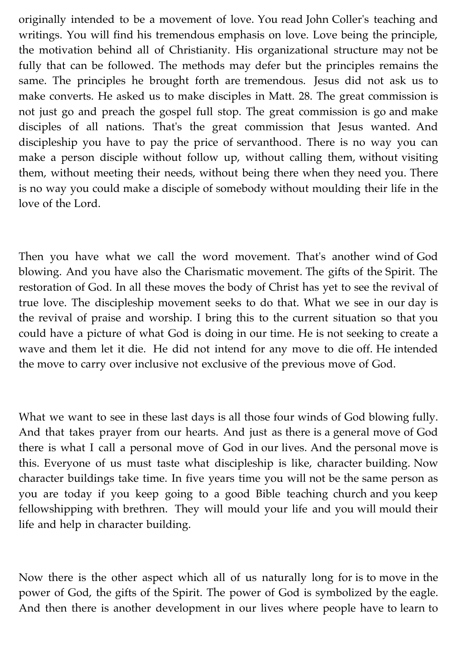originally intended to be a movement of love. You read John Coller's teaching and writings. You will find his tremendous emphasis on love. Love being the principle, the motivation behind all of Christianity. His organizational structure may not be fully that can be followed. The methods may defer but the principles remains the same. The principles he brought forth are tremendous. Jesus did not ask us to make converts. He asked us to make disciples in Matt. 28. The great commission is not just go and preach the gospel full stop. The great commission is go and make disciples of all nations. That's the great commission that Jesus wanted. And discipleship you have to pay the price of servanthood. There is no way you can make a person disciple without follow up, without calling them, without visiting them, without meeting their needs, without being there when they need you. There is no way you could make a disciple of somebody without moulding their life in the love of the Lord.

Then you have what we call the word movement. That's another wind of God blowing. And you have also the Charismatic movement. The gifts of the Spirit. The restoration of God. In all these moves the body of Christ has yet to see the revival of true love. The discipleship movement seeks to do that. What we see in our day is the revival of praise and worship. I bring this to the current situation so that you could have a picture of what God is doing in our time. He is not seeking to create a wave and them let it die. He did not intend for any move to die off. He intended the move to carry over inclusive not exclusive of the previous move of God.

What we want to see in these last days is all those four winds of God blowing fully. And that takes prayer from our hearts. And just as there is a general move of God there is what I call a personal move of God in our lives. And the personal move is this. Everyone of us must taste what discipleship is like, character building. Now character buildings take time. In five years time you will not be the same person as you are today if you keep going to a good Bible teaching church and you keep fellowshipping with brethren. They will mould your life and you will mould their life and help in character building.

Now there is the other aspect which all of us naturally long for is to move in the power of God, the gifts of the Spirit. The power of God is symbolized by the eagle. And then there is another development in our lives where people have to learn to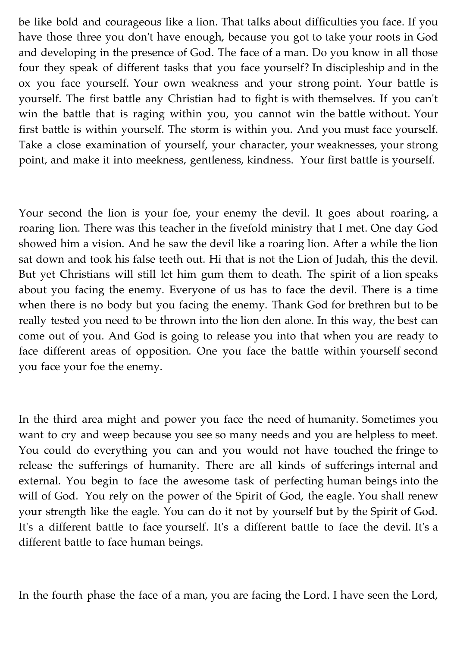be like bold and courageous like a lion. That talks about difficulties you face. If you have those three you don't have enough, because you got to take your roots in God and developing in the presence of God. The face of a man. Do you know in all those four they speak of different tasks that you face yourself? In discipleship and in the ox you face yourself. Your own weakness and your strong point. Your battle is yourself. The first battle any Christian had to fight is with themselves. If you can't win the battle that is raging within you, you cannot win the battle without. Your first battle is within yourself. The storm is within you. And you must face yourself. Take a close examination of yourself, your character, your weaknesses, your strong point, and make it into meekness, gentleness, kindness. Your first battle is yourself.

Your second the lion is your foe, your enemy the devil. It goes about roaring, a roaring lion. There was this teacher in the fivefold ministry that I met. One day God showed him a vision. And he saw the devil like a roaring lion. After a while the lion sat down and took his false teeth out. Hi that is not the Lion of Judah, this the devil. But yet Christians will still let him gum them to death. The spirit of a lion speaks about you facing the enemy. Everyone of us has to face the devil. There is a time when there is no body but you facing the enemy. Thank God for brethren but to be really tested you need to be thrown into the lion den alone. In this way, the best can come out of you. And God is going to release you into that when you are ready to face different areas of opposition. One you face the battle within yourself second you face your foe the enemy.

In the third area might and power you face the need of humanity. Sometimes you want to cry and weep because you see so many needs and you are helpless to meet. You could do everything you can and you would not have touched the fringe to release the sufferings of humanity. There are all kinds of sufferings internal and external. You begin to face the awesome task of perfecting human beings into the will of God. You rely on the power of the Spirit of God, the eagle. You shall renew your strength like the eagle. You can do it not by yourself but by the Spirit of God. It's a different battle to face yourself. It's a different battle to face the devil. It's a different battle to face human beings.

In the fourth phase the face of a man, you are facing the Lord. I have seen the Lord,